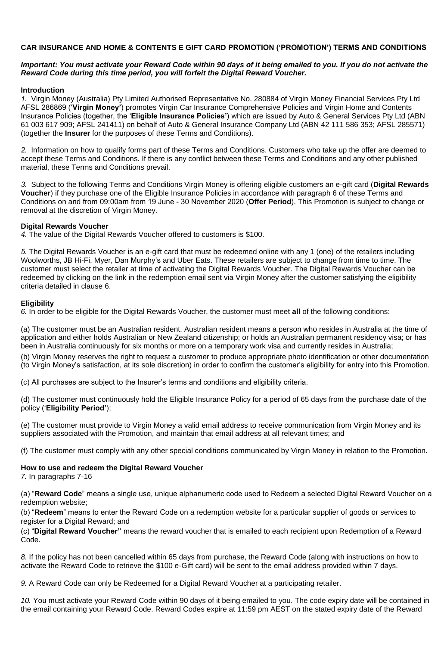## **CAR INSURANCE AND HOME & CONTENTS E GIFT CARD PROMOTION ('PROMOTION') TERMS AND CONDITIONS**

## *Important: You must activate your Reward Code within 90 days of it being emailed to you. If you do not activate the Reward Code during this time period, you will forfeit the Digital Reward Voucher.*

#### **Introduction**

*1.* Virgin Money (Australia) Pty Limited Authorised Representative No. 280884 of Virgin Money Financial Services Pty Ltd AFSL 286869 ('**Virgin Money'**) promotes Virgin Car Insurance Comprehensive Policies and Virgin Home and Contents Insurance Policies (together, the '**Eligible Insurance Policies'**) which are issued by Auto & General Services Pty Ltd (ABN 61 003 617 909; AFSL 241411) on behalf of Auto & General Insurance Company Ltd (ABN 42 111 586 353; AFSL 285571) (together the **Insurer** for the purposes of these Terms and Conditions).

*2.* Information on how to qualify forms part of these Terms and Conditions. Customers who take up the offer are deemed to accept these Terms and Conditions. If there is any conflict between these Terms and Conditions and any other published material, these Terms and Conditions prevail.

*3.* Subject to the following Terms and Conditions Virgin Money is offering eligible customers an e-gift card (**Digital Rewards Voucher**) if they purchase one of the Eligible Insurance Policies in accordance with paragraph 6 of these Terms and Conditions on and from 09:00am from 19 June - 30 November 2020 (**Offer Period**). This Promotion is subject to change or removal at the discretion of Virgin Money.

#### **Digital Rewards Voucher**

*4.* The value of the Digital Rewards Voucher offered to customers is \$100.

*5.* The Digital Rewards Voucher is an e-gift card that must be redeemed online with any 1 (one) of the retailers including Woolworths, JB Hi-Fi, Myer, Dan Murphy's and Uber Eats. These retailers are subject to change from time to time. The customer must select the retailer at time of activating the Digital Rewards Voucher. The Digital Rewards Voucher can be redeemed by clicking on the link in the redemption email sent via Virgin Money after the customer satisfying the eligibility criteria detailed in clause 6.

#### **Eligibility**

*6.* In order to be eligible for the Digital Rewards Voucher, the customer must meet **all** of the following conditions:

(a) The customer must be an Australian resident. Australian resident means a person who resides in Australia at the time of application and either holds Australian or New Zealand citizenship; or holds an Australian permanent residency visa; or has been in Australia continuously for six months or more on a temporary work visa and currently resides in Australia;

(b) Virgin Money reserves the right to request a customer to produce appropriate photo identification or other documentation (to Virgin Money's satisfaction, at its sole discretion) in order to confirm the customer's eligibility for entry into this Promotion.

(c) All purchases are subject to the Insurer's terms and conditions and eligibility criteria.

(d) The customer must continuously hold the Eligible Insurance Policy for a period of 65 days from the purchase date of the policy ('**Eligibility Period'**);

(e) The customer must provide to Virgin Money a valid email address to receive communication from Virgin Money and its suppliers associated with the Promotion, and maintain that email address at all relevant times; and

(f) The customer must comply with any other special conditions communicated by Virgin Money in relation to the Promotion.

#### **How to use and redeem the Digital Reward Voucher**

*7.* In paragraphs 7-16

(a) "**Reward Code**" means a single use, unique alphanumeric code used to Redeem a selected Digital Reward Voucher on a redemption website;

(b) "**Redeem**" means to enter the Reward Code on a redemption website for a particular supplier of goods or services to register for a Digital Reward; and

(c) "**Digital Reward Voucher"** means the reward voucher that is emailed to each recipient upon Redemption of a Reward Code.

*8.* If the policy has not been cancelled within 65 days from purchase, the Reward Code (along with instructions on how to activate the Reward Code to retrieve the \$100 e-Gift card) will be sent to the email address provided within 7 days.

*9.* A Reward Code can only be Redeemed for a Digital Reward Voucher at a participating retailer.

*10.* You must activate your Reward Code within 90 days of it being emailed to you. The code expiry date will be contained in the email containing your Reward Code. Reward Codes expire at 11:59 pm AEST on the stated expiry date of the Reward